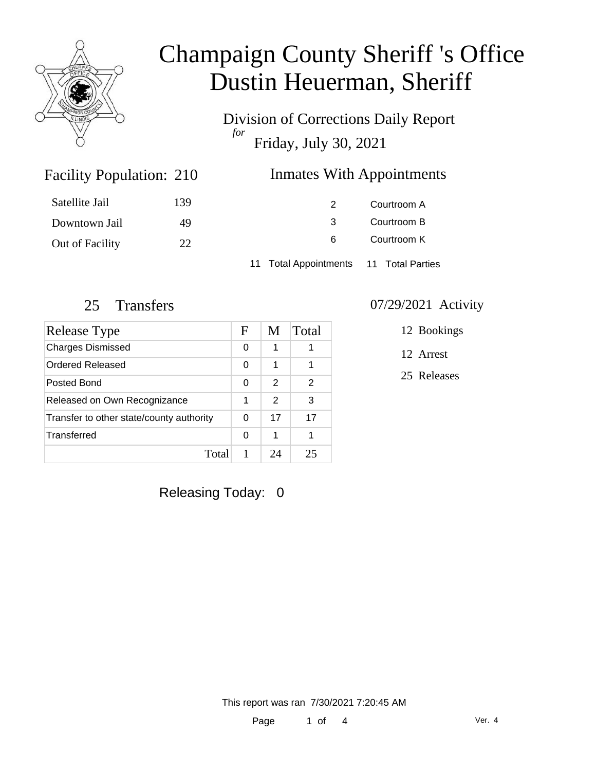

Division of Corrections Daily Report *for* Friday, July 30, 2021

### Inmates With Appointments

| Satellite Jail  | 139 |                                        | Courtroom A |  |
|-----------------|-----|----------------------------------------|-------------|--|
| Downtown Jail   | 49  |                                        | Courtroom B |  |
| Out of Facility | 22  | 6                                      | Courtroom K |  |
|                 |     | 11 Total Appointments 11 Total Parties |             |  |

Facility Population: 210

| Release Type                             | F | M  | Total |
|------------------------------------------|---|----|-------|
| <b>Charges Dismissed</b>                 | 0 | 1  |       |
| Ordered Released                         | 0 | 1  |       |
| Posted Bond                              | 0 | 2  | 2     |
| Released on Own Recognizance             |   | 2  | 3     |
| Transfer to other state/county authority |   | 17 | 17    |
| Transferred                              | 0 | 1  |       |
| Total                                    |   | 7Δ | クラ    |

#### 25 Transfers 07/29/2021 Activity

12 Bookings

12 Arrest

25 Releases

Releasing Today: 0

This report was ran 7/30/2021 7:20:45 AM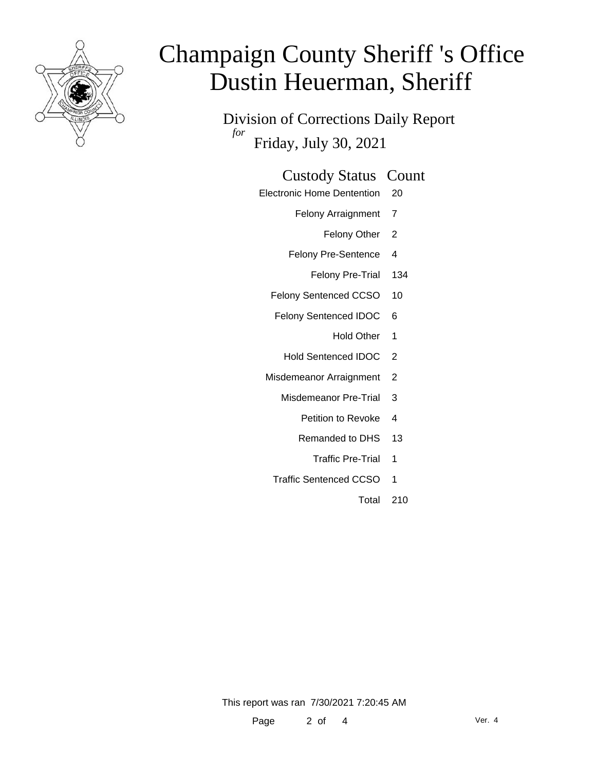

Division of Corrections Daily Report *for* Friday, July 30, 2021

#### Custody Status Count

- Electronic Home Dentention 20
	- Felony Arraignment 7
		- Felony Other 2
	- Felony Pre-Sentence 4
		- Felony Pre-Trial 134
	- Felony Sentenced CCSO 10
	- Felony Sentenced IDOC 6
		- Hold Other 1
		- Hold Sentenced IDOC 2
	- Misdemeanor Arraignment 2
		- Misdemeanor Pre-Trial 3
			- Petition to Revoke 4
			- Remanded to DHS 13
				- Traffic Pre-Trial 1
		- Traffic Sentenced CCSO 1
			- Total 210

This report was ran 7/30/2021 7:20:45 AM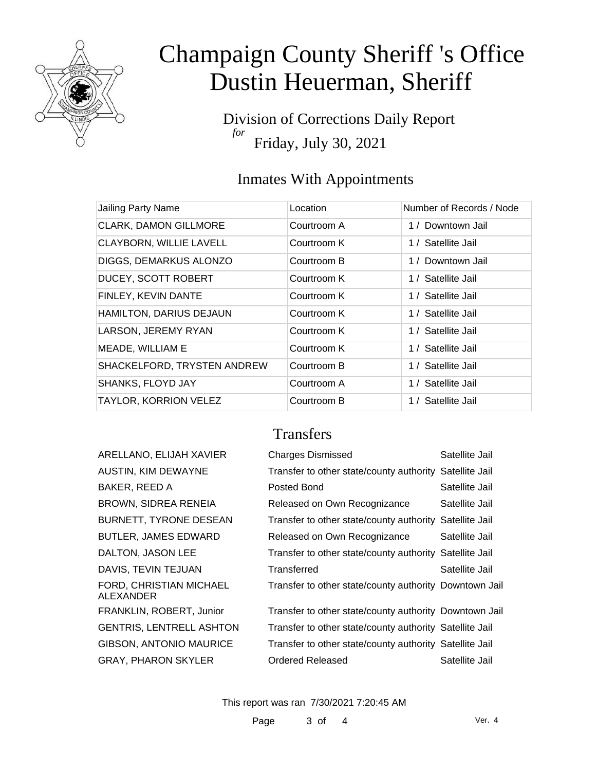

Division of Corrections Daily Report *for* Friday, July 30, 2021

## Inmates With Appointments

| Jailing Party Name             | Location    | Number of Records / Node |
|--------------------------------|-------------|--------------------------|
| <b>CLARK, DAMON GILLMORE</b>   | Courtroom A | 1 / Downtown Jail        |
| <b>CLAYBORN, WILLIE LAVELL</b> | Courtroom K | 1 / Satellite Jail       |
| DIGGS, DEMARKUS ALONZO         | Courtroom B | 1 / Downtown Jail        |
| <b>DUCEY, SCOTT ROBERT</b>     | Courtroom K | 1 / Satellite Jail       |
| FINLEY, KEVIN DANTE            | Courtroom K | 1 / Satellite Jail       |
| HAMILTON, DARIUS DEJAUN        | Courtroom K | 1 / Satellite Jail       |
| LARSON, JEREMY RYAN            | Courtroom K | 1 / Satellite Jail       |
| MEADE, WILLIAM E               | Courtroom K | 1 / Satellite Jail       |
| SHACKELFORD, TRYSTEN ANDREW    | Courtroom B | 1 / Satellite Jail       |
| <b>SHANKS, FLOYD JAY</b>       | Courtroom A | 1 / Satellite Jail       |
| <b>TAYLOR, KORRION VELEZ</b>   | Courtroom B | 1 / Satellite Jail       |

### **Transfers**

| ARELLANO, ELIJAH XAVIER              | <b>Charges Dismissed</b>                                | Satellite Jail |
|--------------------------------------|---------------------------------------------------------|----------------|
| AUSTIN, KIM DEWAYNE                  | Transfer to other state/county authority Satellite Jail |                |
| BAKER, REED A                        | Posted Bond                                             | Satellite Jail |
| BROWN, SIDREA RENEIA                 | Released on Own Recognizance                            | Satellite Jail |
| BURNETT, TYRONE DESEAN               | Transfer to other state/county authority Satellite Jail |                |
| BUTLER, JAMES EDWARD                 | Released on Own Recognizance                            | Satellite Jail |
| DALTON, JASON LEE                    | Transfer to other state/county authority Satellite Jail |                |
| DAVIS, TEVIN TEJUAN                  | Transferred                                             | Satellite Jail |
| FORD, CHRISTIAN MICHAEL<br>ALEXANDER | Transfer to other state/county authority Downtown Jail  |                |
| FRANKLIN, ROBERT, Junior             | Transfer to other state/county authority Downtown Jail  |                |
| <b>GENTRIS, LENTRELL ASHTON</b>      | Transfer to other state/county authority Satellite Jail |                |
| <b>GIBSON, ANTONIO MAURICE</b>       | Transfer to other state/county authority Satellite Jail |                |
| GRAY, PHARON SKYLER                  | Ordered Released                                        | Satellite Jail |